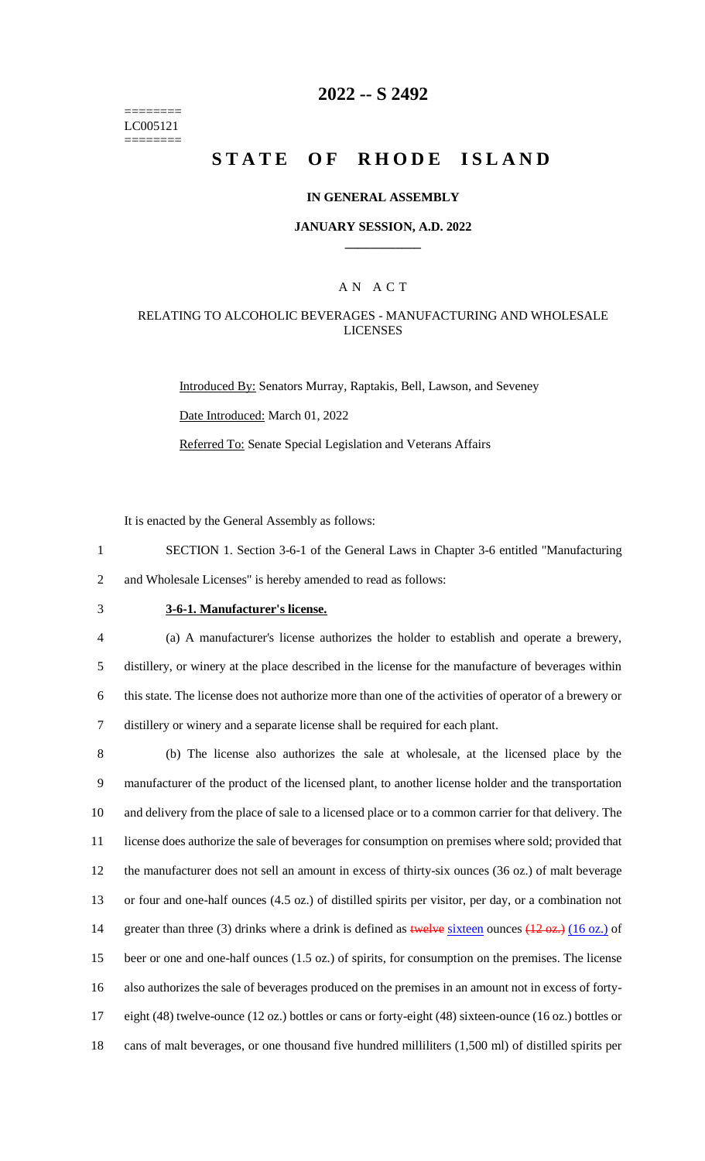======== LC005121 ========

# **2022 -- S 2492**

# **STATE OF RHODE ISLAND**

#### **IN GENERAL ASSEMBLY**

#### **JANUARY SESSION, A.D. 2022 \_\_\_\_\_\_\_\_\_\_\_\_**

#### A N A C T

### RELATING TO ALCOHOLIC BEVERAGES - MANUFACTURING AND WHOLESALE LICENSES

Introduced By: Senators Murray, Raptakis, Bell, Lawson, and Seveney Date Introduced: March 01, 2022 Referred To: Senate Special Legislation and Veterans Affairs

It is enacted by the General Assembly as follows:

1 SECTION 1. Section 3-6-1 of the General Laws in Chapter 3-6 entitled "Manufacturing 2 and Wholesale Licenses" is hereby amended to read as follows:

## 3 **3-6-1. Manufacturer's license.**

 (a) A manufacturer's license authorizes the holder to establish and operate a brewery, distillery, or winery at the place described in the license for the manufacture of beverages within this state. The license does not authorize more than one of the activities of operator of a brewery or distillery or winery and a separate license shall be required for each plant.

 (b) The license also authorizes the sale at wholesale, at the licensed place by the manufacturer of the product of the licensed plant, to another license holder and the transportation and delivery from the place of sale to a licensed place or to a common carrier for that delivery. The license does authorize the sale of beverages for consumption on premises where sold; provided that the manufacturer does not sell an amount in excess of thirty-six ounces (36 oz.) of malt beverage or four and one-half ounces (4.5 oz.) of distilled spirits per visitor, per day, or a combination not 14 greater than three (3) drinks where a drink is defined as twelve sixteen ounces (12 oz.) (16 oz.) of beer or one and one-half ounces (1.5 oz.) of spirits, for consumption on the premises. The license also authorizes the sale of beverages produced on the premises in an amount not in excess of forty- eight (48) twelve-ounce (12 oz.) bottles or cans or forty-eight (48) sixteen-ounce (16 oz.) bottles or cans of malt beverages, or one thousand five hundred milliliters (1,500 ml) of distilled spirits per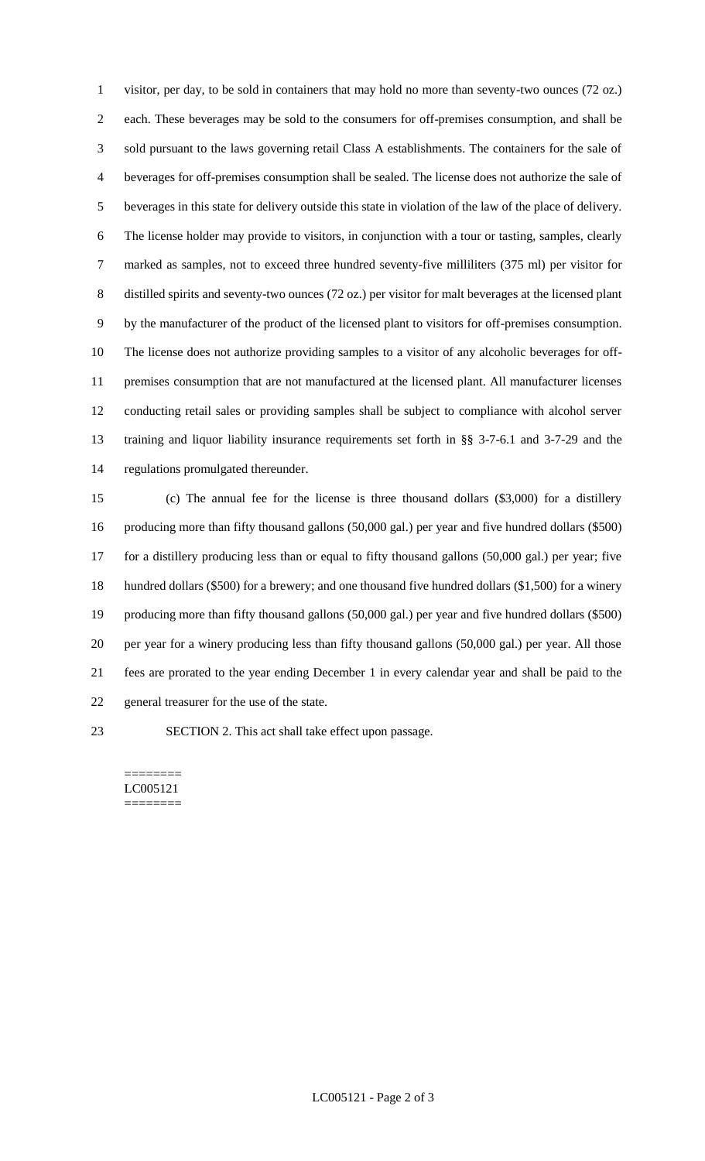visitor, per day, to be sold in containers that may hold no more than seventy-two ounces (72 oz.) each. These beverages may be sold to the consumers for off-premises consumption, and shall be sold pursuant to the laws governing retail Class A establishments. The containers for the sale of beverages for off-premises consumption shall be sealed. The license does not authorize the sale of beverages in this state for delivery outside this state in violation of the law of the place of delivery. The license holder may provide to visitors, in conjunction with a tour or tasting, samples, clearly marked as samples, not to exceed three hundred seventy-five milliliters (375 ml) per visitor for distilled spirits and seventy-two ounces (72 oz.) per visitor for malt beverages at the licensed plant by the manufacturer of the product of the licensed plant to visitors for off-premises consumption. The license does not authorize providing samples to a visitor of any alcoholic beverages for off- premises consumption that are not manufactured at the licensed plant. All manufacturer licenses conducting retail sales or providing samples shall be subject to compliance with alcohol server training and liquor liability insurance requirements set forth in §§ 3-7-6.1 and 3-7-29 and the regulations promulgated thereunder.

 (c) The annual fee for the license is three thousand dollars (\$3,000) for a distillery producing more than fifty thousand gallons (50,000 gal.) per year and five hundred dollars (\$500) for a distillery producing less than or equal to fifty thousand gallons (50,000 gal.) per year; five hundred dollars (\$500) for a brewery; and one thousand five hundred dollars (\$1,500) for a winery producing more than fifty thousand gallons (50,000 gal.) per year and five hundred dollars (\$500) per year for a winery producing less than fifty thousand gallons (50,000 gal.) per year. All those fees are prorated to the year ending December 1 in every calendar year and shall be paid to the general treasurer for the use of the state.

SECTION 2. This act shall take effect upon passage.

======== LC005121 ========